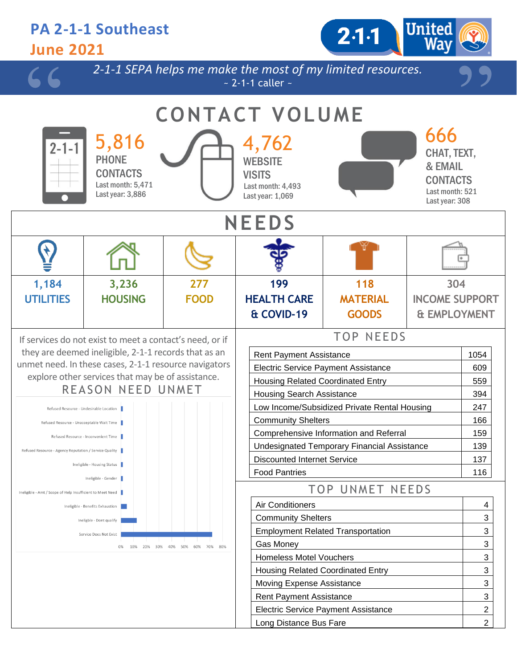### **PA 2-1-1 Southeast**  $2.1 - 1$ **June 2021** *2-1-1 SEPA helps me make the most of my limited resources.*  $\sim$  2-1-1 caller  $\sim$ **CONTACT VOLUME** 666 5,816 4,762 CHAT, TEXT, **PHONE WEBSITE** & EMAIL **CONTACTS VISITS** CONTACTS Last month: 5,471 Last month: 4,493 Last month: 521 Last year: 3,886 Last year: 1,069 Last year: 308 **NEEDS 1,184 3,236 199 118 277 304 UTILITIES HOUSING MATERIAL INCOME SUPPORT FOOD HEALTH CARE & COVID-19 GOODS & EMPLOYMENT** TOP NEEDS If services do not exist to meet a contact's need, or if they are deemed ineligible, 2-1-1 records that as an Rent Payment Assistance 1054 unmet need. In these cases, 2-1-1 resource navigators Electric Service Payment Assistance 1 609 explore other services that may be of assistance. Housing Related Coordinated Entry **1998** 559 REASON NEED UNMET Housing Search Assistance **394** Low Income/Subsidized Private Rental Housing 247 Refused Resource - Undesirable Location Community Shelters 166 Refused Resource - Unacceptable Wait Time Comprehensive Information and Referral 159 Refused Resource - Inconvenient Time Undesignated Temporary Financial Assistance | 139 Refused Resource - Agency Reputation / Service Quality Discounted Internet Service 137 Ineligible - Housing Status Food Pantries 116 Ineligible - Gender TOP UNMET NEEDS Ineligible - Amt / Scope of Help Insufficient to Meet Need Air Conditioners **Air Conditioners 4** Ineligible - Benefits Exhaustion Community Shelters **3** and 3 Ineligble - Dont qualify Employment Related Transportation **3** 2 Service Does Not Exist Gas Money 3 0% 10% 20% 30% 40% 50% 60% 70% 80% Homeless Motel Vouchers 3

Housing Related Coordinated Entry **3** 3 Moving Expense Assistance **3 3** Rent Payment Assistance **3** 23 Electric Service Payment Assistance 2 Long Distance Bus Fare 2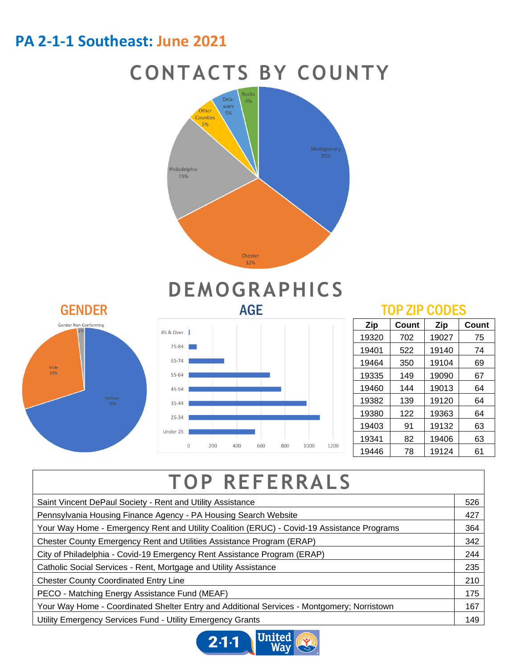### **PA 2-1-1 Southeast: June 2021**







# **DEMOGRAPHICS**



| Zip   | Count | Zip   | Count |
|-------|-------|-------|-------|
| 19320 | 702   | 19027 | 75    |
| 19401 | 522   | 19140 | 74    |
| 19464 | 350   | 19104 | 69    |
| 19335 | 149   | 19090 | 67    |
| 19460 | 144   | 19013 | 64    |
| 19382 | 139   | 19120 | 64    |
| 19380 | 122   | 19363 | 64    |
| 19403 | 91    | 19132 | 63    |
| 19341 | 82    | 19406 | 63    |
| 19446 | 78    | 19124 | 61    |

# **TOP REFERRALS**

| Saint Vincent DePaul Society - Rent and Utility Assistance                                 |  |
|--------------------------------------------------------------------------------------------|--|
| Pennsylvania Housing Finance Agency - PA Housing Search Website                            |  |
| Your Way Home - Emergency Rent and Utility Coalition (ERUC) - Covid-19 Assistance Programs |  |
| Chester County Emergency Rent and Utilities Assistance Program (ERAP)                      |  |
| City of Philadelphia - Covid-19 Emergency Rent Assistance Program (ERAP)                   |  |
| Catholic Social Services - Rent, Mortgage and Utility Assistance                           |  |
| <b>Chester County Coordinated Entry Line</b>                                               |  |
| PECO - Matching Energy Assistance Fund (MEAF)                                              |  |
| Your Way Home - Coordinated Shelter Entry and Additional Services - Montgomery; Norristown |  |
| Utility Emergency Services Fund - Utility Emergency Grants                                 |  |